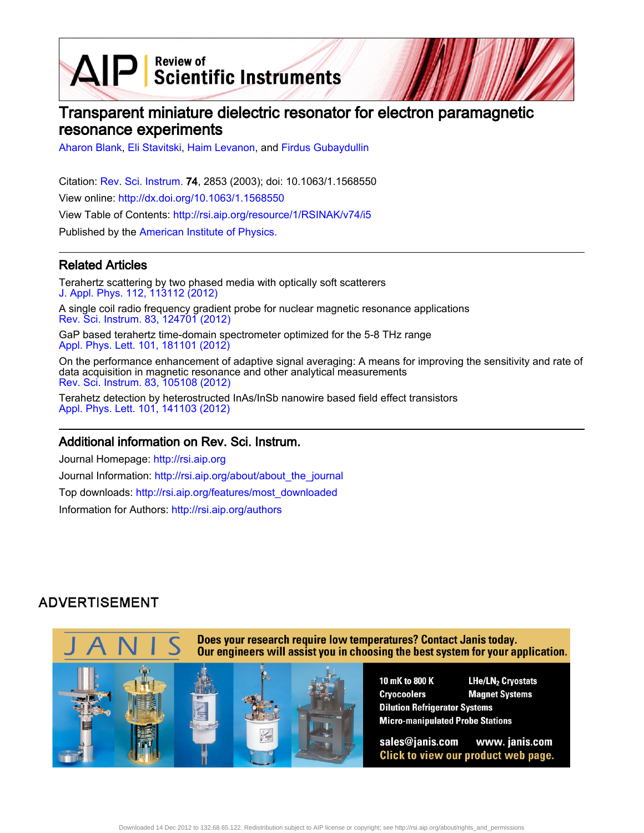$\text{AIP}$  Scientific Instruments

# Transparent miniature dielectric resonator for electron paramagnetic resonance experiments

[Aharon Blank](http://rsi.aip.org/search?sortby=newestdate&q=&searchzone=2&searchtype=searchin&faceted=faceted&key=AIP_ALL&possible1=Aharon Blank&possible1zone=author&alias=&displayid=AIP&ver=pdfcov), [Eli Stavitski,](http://rsi.aip.org/search?sortby=newestdate&q=&searchzone=2&searchtype=searchin&faceted=faceted&key=AIP_ALL&possible1=Eli Stavitski&possible1zone=author&alias=&displayid=AIP&ver=pdfcov) [Haim Levanon,](http://rsi.aip.org/search?sortby=newestdate&q=&searchzone=2&searchtype=searchin&faceted=faceted&key=AIP_ALL&possible1=Haim Levanon&possible1zone=author&alias=&displayid=AIP&ver=pdfcov) and [Firdus Gubaydullin](http://rsi.aip.org/search?sortby=newestdate&q=&searchzone=2&searchtype=searchin&faceted=faceted&key=AIP_ALL&possible1=Firdus Gubaydullin&possible1zone=author&alias=&displayid=AIP&ver=pdfcov)

Citation: [Rev. Sci. Instrum.](http://rsi.aip.org?ver=pdfcov) 74, 2853 (2003); doi: 10.1063/1.1568550 View online: [http://dx.doi.org/10.1063/1.1568550](http://link.aip.org/link/doi/10.1063/1.1568550?ver=pdfcov) View Table of Contents: [http://rsi.aip.org/resource/1/RSINAK/v74/i5](http://rsi.aip.org/resource/1/RSINAK/v74/i5?ver=pdfcov) Published by the [American Institute of Physics.](http://www.aip.org/?ver=pdfcov)

### Related Articles

Terahertz scattering by two phased media with optically soft scatterers [J. Appl. Phys. 112, 113112 \(2012\)](http://link.aip.org/link/doi/10.1063/1.4768888?ver=pdfcov)

A single coil radio frequency gradient probe for nuclear magnetic resonance applications [Rev. Sci. Instrum. 83, 124701 \(2012\)](http://link.aip.org/link/doi/10.1063/1.4769054?ver=pdfcov)

GaP based terahertz time-domain spectrometer optimized for the 5-8 THz range [Appl. Phys. Lett. 101, 181101 \(2012\)](http://link.aip.org/link/doi/10.1063/1.4764545?ver=pdfcov)

On the performance enhancement of adaptive signal averaging: A means for improving the sensitivity and rate of data acquisition in magnetic resonance and other analytical measurements [Rev. Sci. Instrum. 83, 105108 \(2012\)](http://link.aip.org/link/doi/10.1063/1.4757869?ver=pdfcov)

Terahetz detection by heterostructed InAs/InSb nanowire based field effect transistors [Appl. Phys. Lett. 101, 141103 \(2012\)](http://link.aip.org/link/doi/10.1063/1.4757005?ver=pdfcov)

### Additional information on Rev. Sci. Instrum.

Journal Homepage: [http://rsi.aip.org](http://rsi.aip.org?ver=pdfcov) Journal Information: [http://rsi.aip.org/about/about\\_the\\_journal](http://rsi.aip.org/about/about_the_journal?ver=pdfcov) Top downloads: [http://rsi.aip.org/features/most\\_downloaded](http://rsi.aip.org/features/most_downloaded?ver=pdfcov) Information for Authors: [http://rsi.aip.org/authors](http://rsi.aip.org/authors?ver=pdfcov)

## **ADVERTISEMENT**

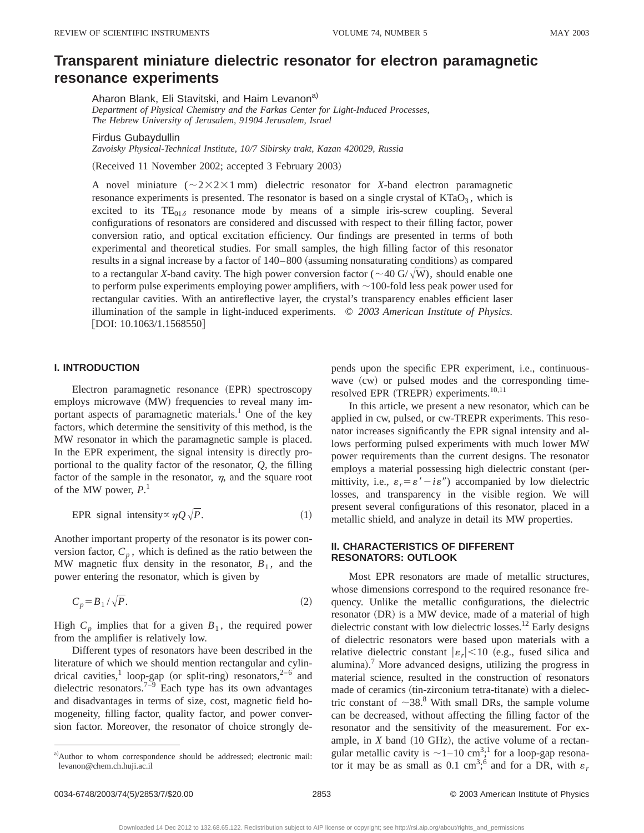## **Transparent miniature dielectric resonator for electron paramagnetic resonance experiments**

Aharon Blank, Eli Stavitski, and Haim Levanon<sup>a)</sup> *Department of Physical Chemistry and the Farkas Center for Light-Induced Processes, The Hebrew University of Jerusalem, 91904 Jerusalem, Israel*

Firdus Gubaydullin

*Zavoisky Physical-Technical Institute, 10/7 Sibirsky trakt, Kazan 420029, Russia*

(Received 11 November 2002; accepted 3 February 2003)

A novel miniature  $(\sim 2 \times 2 \times 1 \text{ mm})$  dielectric resonator for *X*-band electron paramagnetic resonance experiments is presented. The resonator is based on a single crystal of  $KTaO<sub>3</sub>$ , which is excited to its  $TE_{01\delta}$  resonance mode by means of a simple iris-screw coupling. Several configurations of resonators are considered and discussed with respect to their filling factor, power conversion ratio, and optical excitation efficiency. Our findings are presented in terms of both experimental and theoretical studies. For small samples, the high filling factor of this resonator results in a signal increase by a factor of 140–800 (assuming nonsaturating conditions) as compared to a rectangular *X*-band cavity. The high power conversion factor ( $\sim$ 40 G/ $\sqrt{\text{W}}$ ), should enable one to perform pulse experiments employing power amplifiers, with  $\sim$ 100-fold less peak power used for rectangular cavities. With an antireflective layer, the crystal's transparency enables efficient laser illumination of the sample in light-induced experiments. © *2003 American Institute of Physics.* [DOI: 10.1063/1.1568550]

#### **I. INTRODUCTION**

Electron paramagnetic resonance (EPR) spectroscopy employs microwave (MW) frequencies to reveal many important aspects of paramagnetic materials.<sup>1</sup> One of the key factors, which determine the sensitivity of this method, is the MW resonator in which the paramagnetic sample is placed. In the EPR experiment, the signal intensity is directly proportional to the quality factor of the resonator, *Q*, the filling factor of the sample in the resonator,  $\eta$ , and the square root of the MW power, *P*. 1

EPR signal intensity 
$$
\propto \eta Q \sqrt{P}
$$
. (1)

Another important property of the resonator is its power conversion factor,  $C_p$ , which is defined as the ratio between the MW magnetic flux density in the resonator,  $B_1$ , and the power entering the resonator, which is given by

$$
C_p = B_1 / \sqrt{P}.
$$
 (2)

High  $C_p$  implies that for a given  $B_1$ , the required power from the amplifier is relatively low.

Different types of resonators have been described in the literature of which we should mention rectangular and cylindrical cavities,<sup>1</sup> loop-gap (or split-ring) resonators,<sup>2–6</sup> and dielectric resonators.<sup>7–9</sup> Each type has its own advantages and disadvantages in terms of size, cost, magnetic field homogeneity, filling factor, quality factor, and power conversion factor. Moreover, the resonator of choice strongly depends upon the specific EPR experiment, i.e., continuouswave  $(cw)$  or pulsed modes and the corresponding timeresolved EPR (TREPR) experiments.<sup>10,11</sup>

In this article, we present a new resonator, which can be applied in cw, pulsed, or cw-TREPR experiments. This resonator increases significantly the EPR signal intensity and allows performing pulsed experiments with much lower MW power requirements than the current designs. The resonator employs a material possessing high dielectric constant (permittivity, i.e.,  $\varepsilon_r = \varepsilon' - i\varepsilon''$  accompanied by low dielectric losses, and transparency in the visible region. We will present several configurations of this resonator, placed in a metallic shield, and analyze in detail its MW properties.

### **II. CHARACTERISTICS OF DIFFERENT RESONATORS: OUTLOOK**

Most EPR resonators are made of metallic structures, whose dimensions correspond to the required resonance frequency. Unlike the metallic configurations, the dielectric resonator (DR) is a MW device, made of a material of high dielectric constant with low dielectric losses.<sup>12</sup> Early designs of dielectric resonators were based upon materials with a relative dielectric constant  $|\varepsilon_r|$  < 10 (e.g., fused silica and alumina).<sup>7</sup> More advanced designs, utilizing the progress in material science, resulted in the construction of resonators made of ceramics (tin-zirconium tetra-titanate) with a dielectric constant of  $\sim$ 38.<sup>8</sup> With small DRs, the sample volume can be decreased, without affecting the filling factor of the resonator and the sensitivity of the measurement. For example, in  $X$  band  $(10 \text{ GHz})$ , the active volume of a rectangular metallic cavity is  $\sim$  1–10 cm<sup>3</sup>;<sup>1</sup> for a loop-gap resonator it may be as small as 0.1 cm<sup>3</sup>;<sup>6</sup> and for a DR, with  $\varepsilon_r$ 

a)Author to whom correspondence should be addressed; electronic mail: levanon@chem.ch.huji.ac.il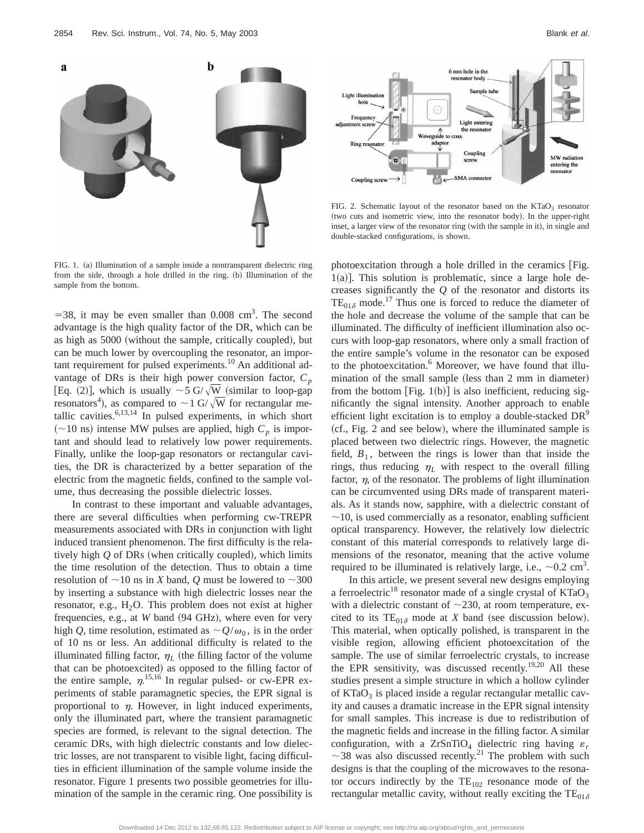

FIG. 1. (a) Illumination of a sample inside a nontransparent dielectric ring from the side, through a hole drilled in the ring. (b) Illumination of the sample from the bottom.

 $=$  38, it may be even smaller than 0.008 cm<sup>3</sup>. The second advantage is the high quality factor of the DR, which can be as high as 5000 (without the sample, critically coupled), but can be much lower by overcoupling the resonator, an important requirement for pulsed experiments.<sup>10</sup> An additional advantage of DRs is their high power conversion factor,  $C_p$ [Eq. (2)], which is usually  $\sim$  5 G/ $\sqrt{\text{W}}$  (similar to loop-gap resonators<sup>4</sup>), as compared to  $\sim$  1 G/ $\sqrt{\text{W}}$  for rectangular metallic cavities.6,13,14 In pulsed experiments, in which short  $(\sim 10 \text{ ns})$  intense MW pulses are applied, high  $C_p$  is important and should lead to relatively low power requirements. Finally, unlike the loop-gap resonators or rectangular cavities, the DR is characterized by a better separation of the electric from the magnetic fields, confined to the sample volume, thus decreasing the possible dielectric losses.

In contrast to these important and valuable advantages, there are several difficulties when performing cw-TREPR measurements associated with DRs in conjunction with light induced transient phenomenon. The first difficulty is the relatively high  $Q$  of DRs (when critically coupled), which limits the time resolution of the detection. Thus to obtain a time resolution of  $\sim$ 10 ns in *X* band, *Q* must be lowered to  $\sim$ 300 by inserting a substance with high dielectric losses near the resonator, e.g.,  $H_2O$ . This problem does not exist at higher frequencies, e.g., at *W* band (94 GHz), where even for very high *Q*, time resolution, estimated as  $\sim$   $Q/\omega_0$ , is in the order of 10 ns or less. An additional difficulty is related to the illuminated filling factor,  $\eta_L$  (the filling factor of the volume that can be photoexcited) as opposed to the filling factor of the entire sample,  $\eta$ <sup>15,16</sup> In regular pulsed- or cw-EPR experiments of stable paramagnetic species, the EPR signal is proportional to  $\eta$ . However, in light induced experiments, only the illuminated part, where the transient paramagnetic species are formed, is relevant to the signal detection. The ceramic DRs, with high dielectric constants and low dielectric losses, are not transparent to visible light, facing difficulties in efficient illumination of the sample volume inside the resonator. Figure 1 presents two possible geometries for illumination of the sample in the ceramic ring. One possibility is



FIG. 2. Schematic layout of the resonator based on the  $KTaO<sub>3</sub>$  resonator (two cuts and isometric view, into the resonator body). In the upper-right inset, a larger view of the resonator ring (with the sample in it), in single and double-stacked configurations, is shown.

photoexcitation through a hole drilled in the ceramics  $[Fig.$  $1(a)$ ]. This solution is problematic, since a large hole decreases significantly the *Q* of the resonator and distorts its  $TE_{01\delta}$  mode.<sup>17</sup> Thus one is forced to reduce the diameter of the hole and decrease the volume of the sample that can be illuminated. The difficulty of inefficient illumination also occurs with loop-gap resonators, where only a small fraction of the entire sample's volume in the resonator can be exposed to the photoexcitation.<sup>6</sup> Moreover, we have found that illumination of the small sample (less than  $2$  mm in diameter) from the bottom  $[Fig. 1(b)]$  is also inefficient, reducing significantly the signal intensity. Another approach to enable efficient light excitation is to employ a double-stacked DR<sup>9</sup>  $(cf., Fig. 2 and see below), where the illuminated sample is$ placed between two dielectric rings. However, the magnetic field,  $B_1$ , between the rings is lower than that inside the rings, thus reducing  $\eta_L$  with respect to the overall filling factor,  $\eta$ , of the resonator. The problems of light illumination can be circumvented using DRs made of transparent materials. As it stands now, sapphire, with a dielectric constant of  $\sim$ 10, is used commercially as a resonator, enabling sufficient optical transparency. However, the relatively low dielectric constant of this material corresponds to relatively large dimensions of the resonator, meaning that the active volume required to be illuminated is relatively large, i.e.,  $\sim 0.2 \text{ cm}^3$ .

In this article, we present several new designs employing a ferroelectric<sup>18</sup> resonator made of a single crystal of  $KTaO<sub>3</sub>$ with a dielectric constant of  $\sim$ 230, at room temperature, excited to its  $TE_{01\delta}$  mode at *X* band (see discussion below). This material, when optically polished, is transparent in the visible region, allowing efficient photoexcitation of the sample. The use of similar ferroelectric crystals, to increase the EPR sensitivity, was discussed recently.<sup>19,20</sup> All these studies present a simple structure in which a hollow cylinder of  $KTaO<sub>3</sub>$  is placed inside a regular rectangular metallic cavity and causes a dramatic increase in the EPR signal intensity for small samples. This increase is due to redistribution of the magnetic fields and increase in the filling factor. A similar configuration, with a ZrSnTiO<sub>4</sub> dielectric ring having  $\varepsilon_r$  $\sim$  38 was also discussed recently.<sup>21</sup> The problem with such designs is that the coupling of the microwaves to the resonator occurs indirectly by the  $TE_{102}$  resonance mode of the rectangular metallic cavity, without really exciting the  $TE_{01\delta}$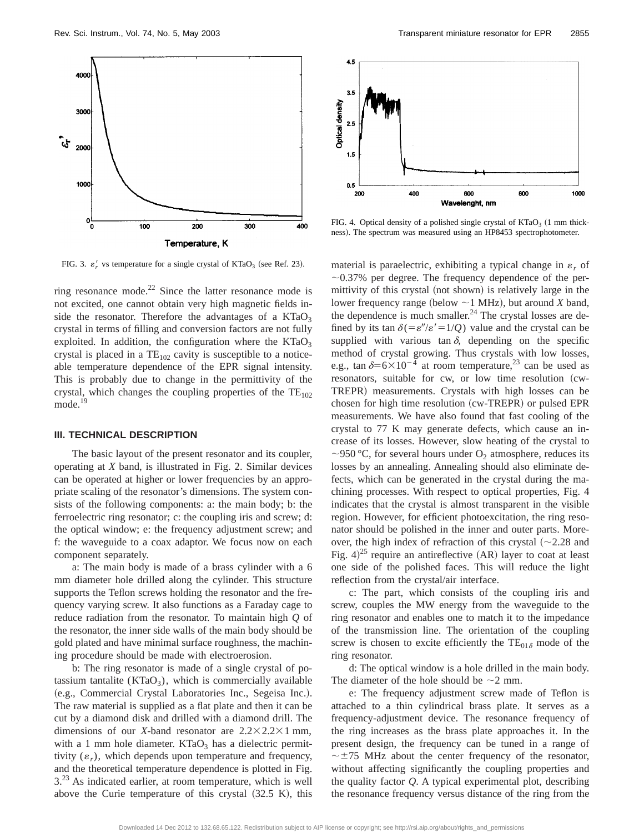

FIG. 3.  $\varepsilon'_r$  vs temperature for a single crystal of KTaO<sub>3</sub> (see Ref. 23).

ring resonance mode.<sup>22</sup> Since the latter resonance mode is not excited, one cannot obtain very high magnetic fields inside the resonator. Therefore the advantages of a  $KTaO<sub>3</sub>$ crystal in terms of filling and conversion factors are not fully exploited. In addition, the configuration where the  $KTaO<sub>3</sub>$ crystal is placed in a  $TE_{102}$  cavity is susceptible to a noticeable temperature dependence of the EPR signal intensity. This is probably due to change in the permittivity of the crystal, which changes the coupling properties of the  $TE_{102}$ mode.<sup>19</sup>

#### **III. TECHNICAL DESCRIPTION**

The basic layout of the present resonator and its coupler, operating at *X* band, is illustrated in Fig. 2. Similar devices can be operated at higher or lower frequencies by an appropriate scaling of the resonator's dimensions. The system consists of the following components: a: the main body; b: the ferroelectric ring resonator; c: the coupling iris and screw; d: the optical window; e: the frequency adjustment screw; and f: the waveguide to a coax adaptor. We focus now on each component separately.

a: The main body is made of a brass cylinder with a 6 mm diameter hole drilled along the cylinder. This structure supports the Teflon screws holding the resonator and the frequency varying screw. It also functions as a Faraday cage to reduce radiation from the resonator. To maintain high *Q* of the resonator, the inner side walls of the main body should be gold plated and have minimal surface roughness, the machining procedure should be made with electroerosion.

b: The ring resonator is made of a single crystal of potassium tantalite  $(KTaO_3)$ , which is commercially available (e.g., Commercial Crystal Laboratories Inc., Segeisa Inc.). The raw material is supplied as a flat plate and then it can be cut by a diamond disk and drilled with a diamond drill. The dimensions of our *X*-band resonator are  $2.2 \times 2.2 \times 1$  mm, with a 1 mm hole diameter.  $KTaO<sub>3</sub>$  has a dielectric permittivity  $(\varepsilon_r)$ , which depends upon temperature and frequency, and the theoretical temperature dependence is plotted in Fig. 3.<sup>23</sup> As indicated earlier, at room temperature, which is well above the Curie temperature of this crystal  $(32.5 K)$ , this



FIG. 4. Optical density of a polished single crystal of  $KTaO<sub>3</sub>$  (1 mm thickness). The spectrum was measured using an HP8453 spectrophotometer.

material is paraelectric, exhibiting a typical change in  $\varepsilon_r$  of  $\sim$ 0.37% per degree. The frequency dependence of the permittivity of this crystal (not shown) is relatively large in the lower frequency range (below  $\sim$ 1 MHz), but around *X* band, the dependence is much smaller. $^{24}$  The crystal losses are defined by its tan  $\delta (= \varepsilon''/\varepsilon' = 1/Q)$  value and the crystal can be supplied with various tan  $\delta$ , depending on the specific method of crystal growing. Thus crystals with low losses, e.g., tan  $\delta=6\times10^{-4}$  at room temperature,<sup>23</sup> can be used as resonators, suitable for cw, or low time resolution (cw-TREPR) measurements. Crystals with high losses can be chosen for high time resolution  $(cw-TREPR)$  or pulsed EPR measurements. We have also found that fast cooling of the crystal to 77 K may generate defects, which cause an increase of its losses. However, slow heating of the crystal to ~950 °C, for several hours under  $O_2$  atmosphere, reduces its losses by an annealing. Annealing should also eliminate defects, which can be generated in the crystal during the machining processes. With respect to optical properties, Fig. 4 indicates that the crystal is almost transparent in the visible region. However, for efficient photoexcitation, the ring resonator should be polished in the inner and outer parts. Moreover, the high index of refraction of this crystal  $~(-2.28$  and Fig.  $4)^{25}$  require an antireflective (AR) layer to coat at least one side of the polished faces. This will reduce the light reflection from the crystal/air interface.

c: The part, which consists of the coupling iris and screw, couples the MW energy from the waveguide to the ring resonator and enables one to match it to the impedance of the transmission line. The orientation of the coupling screw is chosen to excite efficiently the  $TE_{01\delta}$  mode of the ring resonator.

d: The optical window is a hole drilled in the main body. The diameter of the hole should be  $\sim$ 2 mm.

e: The frequency adjustment screw made of Teflon is attached to a thin cylindrical brass plate. It serves as a frequency-adjustment device. The resonance frequency of the ring increases as the brass plate approaches it. In the present design, the frequency can be tuned in a range of  $\sim \pm 75$  MHz about the center frequency of the resonator, without affecting significantly the coupling properties and the quality factor *Q*. A typical experimental plot, describing the resonance frequency versus distance of the ring from the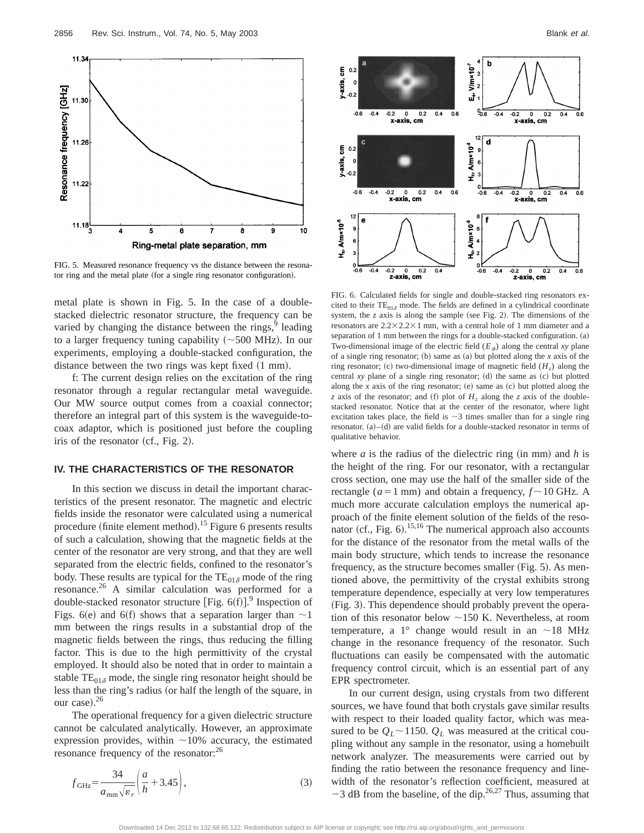

FIG. 5. Measured resonance frequency vs the distance between the resonator ring and the metal plate (for a single ring resonator configuration).

metal plate is shown in Fig. 5. In the case of a doublestacked dielectric resonator structure, the frequency can be varied by changing the distance between the rings,<sup>9</sup> leading to a larger frequency tuning capability  $(\sim 500 \text{ MHz})$ . In our experiments, employing a double-stacked configuration, the distance between the two rings was kept fixed  $(1 \text{ mm})$ .

f: The current design relies on the excitation of the ring resonator through a regular rectangular metal waveguide. Our MW source output comes from a coaxial connector; therefore an integral part of this system is the waveguide-tocoax adaptor, which is positioned just before the coupling iris of the resonator  $(cf., Fig. 2)$ .

#### **IV. THE CHARACTERISTICS OF THE RESONATOR**

In this section we discuss in detail the important characteristics of the present resonator. The magnetic and electric fields inside the resonator were calculated using a numerical procedure (finite element method).<sup>15</sup> Figure 6 presents results of such a calculation, showing that the magnetic fields at the center of the resonator are very strong, and that they are well separated from the electric fields, confined to the resonator's body. These results are typical for the  $TE_{01\delta}$  mode of the ring resonance.26 A similar calculation was performed for a double-stacked resonator structure [Fig.  $6(f)$ ].<sup>9</sup> Inspection of Figs. 6(e) and 6(f) shows that a separation larger than  $\sim$ 1 mm between the rings results in a substantial drop of the magnetic fields between the rings, thus reducing the filling factor. This is due to the high permittivity of the crystal employed. It should also be noted that in order to maintain a stable  $TE_{01\delta}$  mode, the single ring resonator height should be less than the ring's radius (or half the length of the square, in our case). $26$ 

The operational frequency for a given dielectric structure cannot be calculated analytically. However, an approximate expression provides, within  $\sim$ 10% accuracy, the estimated resonance frequency of the resonator:<sup>26</sup>

$$
f_{\text{GHz}} = \frac{34}{a_{\text{mm}}\sqrt{\varepsilon_r}} \left(\frac{a}{h} + 3.45\right),\tag{3}
$$



FIG. 6. Calculated fields for single and double-stacked ring resonators excited to their  $TE_{01\delta}$  mode. The fields are defined in a cylindrical coordinate system, the  $z$  axis is along the sample (see Fig. 2). The dimensions of the resonators are  $2.2 \times 2.2 \times 1$  mm, with a central hole of 1 mm diameter and a separation of  $1 \text{ mm}$  between the rings for a double-stacked configuration. (a) Two-dimensional image of the electric field  $(E_{\phi})$  along the central *xy* plane of a single ring resonator;  $(b)$  same as  $(a)$  but plotted along the *x* axis of the ring resonator; (c) two-dimensional image of magnetic field  $(H<sub>z</sub>)$  along the central  $xy$  plane of a single ring resonator;  $(d)$  the same as  $(c)$  but plotted along the *x* axis of the ring resonator;  $(e)$  same as  $(c)$  but plotted along the *z* axis of the resonator; and (f) plot of  $H<sub>z</sub>$  along the *z* axis of the doublestacked resonator. Notice that at the center of the resonator, where light excitation takes place, the field is  $\sim$ 3 times smaller than for a single ring resonator.  $(a)$ – $(d)$  are valid fields for a double-stacked resonator in terms of qualitative behavior.

where  $a$  is the radius of the dielectric ring (in mm) and  $h$  is the height of the ring. For our resonator, with a rectangular cross section, one may use the half of the smaller side of the rectangle ( $a=1$  mm) and obtain a frequency,  $f \sim 10$  GHz. A much more accurate calculation employs the numerical approach of the finite element solution of the fields of the resonator (cf., Fig.  $6$ ).<sup>15,16</sup> The numerical approach also accounts for the distance of the resonator from the metal walls of the main body structure, which tends to increase the resonance frequency, as the structure becomes smaller (Fig.  $5$ ). As mentioned above, the permittivity of the crystal exhibits strong temperature dependence, especially at very low temperatures (Fig. 3). This dependence should probably prevent the operation of this resonator below  $\sim$ 150 K. Nevertheless, at room temperature, a 1° change would result in an  $\sim$ 18 MHz change in the resonance frequency of the resonator. Such fluctuations can easily be compensated with the automatic frequency control circuit, which is an essential part of any EPR spectrometer.

In our current design, using crystals from two different sources, we have found that both crystals gave similar results with respect to their loaded quality factor, which was measured to be  $Q_L \sim 1150$ .  $Q_L$  was measured at the critical coupling without any sample in the resonator, using a homebuilt network analyzer. The measurements were carried out by finding the ratio between the resonance frequency and linewidth of the resonator's reflection coefficient, measured at  $-3$  dB from the baseline, of the dip.<sup>26,27</sup> Thus, assuming that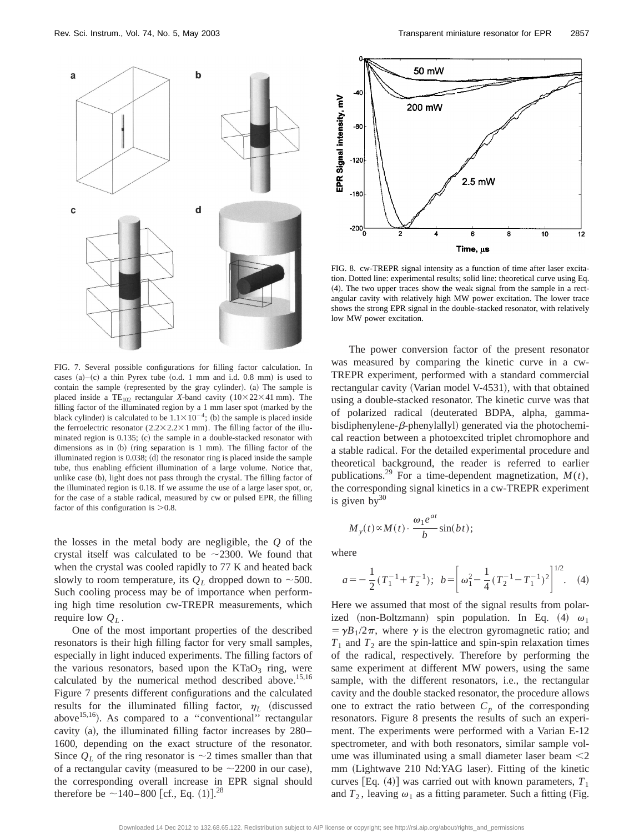

FIG. 7. Several possible configurations for filling factor calculation. In cases  $(a)$ – $(c)$  a thin Pyrex tube  $(o.d. 1$  mm and i.d. 0.8 mm) is used to contain the sample (represented by the gray cylinder). (a) The sample is placed inside a TE<sub>102</sub> rectangular *X*-band cavity ( $10 \times 22 \times 41$  mm). The filling factor of the illuminated region by a  $1$  mm laser spot (marked by the black cylinder) is calculated to be  $1.1 \times 10^{-4}$ ; (b) the sample is placed inside the ferroelectric resonator  $(2.2 \times 2.2 \times 1 \text{ mm})$ . The filling factor of the illuminated region is  $0.135$ ; (c) the sample in a double-stacked resonator with dimensions as in  $(b)$  (ring separation is 1 mm). The filling factor of the illuminated region is  $0.038$ ; (d) the resonator ring is placed inside the sample tube, thus enabling efficient illumination of a large volume. Notice that, unlike case (b), light does not pass through the crystal. The filling factor of the illuminated region is 0.18. If we assume the use of a large laser spot, or, for the case of a stable radical, measured by cw or pulsed EPR, the filling factor of this configuration is  $>0.8$ .

the losses in the metal body are negligible, the *Q* of the crystal itself was calculated to be  $\sim$ 2300. We found that when the crystal was cooled rapidly to 77 K and heated back slowly to room temperature, its  $Q_L$  dropped down to  $\sim$ 500. Such cooling process may be of importance when performing high time resolution cw-TREPR measurements, which require low *QL* .

One of the most important properties of the described resonators is their high filling factor for very small samples, especially in light induced experiments. The filling factors of the various resonators, based upon the  $KTaO<sub>3</sub>$  ring, were calculated by the numerical method described above.<sup>15,16</sup> Figure 7 presents different configurations and the calculated results for the illuminated filling factor,  $\eta_L$  (discussed above<sup>15,16</sup>). As compared to a "conventional" rectangular cavity (a), the illuminated filling factor increases by  $280-$ 1600, depending on the exact structure of the resonator. Since  $Q_L$  of the ring resonator is  $\sim$ 2 times smaller than that of a rectangular cavity (measured to be  $\sim$  2200 in our case), the corresponding overall increase in EPR signal should therefore be  $\sim$ 140–800 [cf., Eq. (1)].<sup>28</sup>



FIG. 8. cw-TREPR signal intensity as a function of time after laser excitation. Dotted line: experimental results; solid line: theoretical curve using Eq. (4). The two upper traces show the weak signal from the sample in a rectangular cavity with relatively high MW power excitation. The lower trace shows the strong EPR signal in the double-stacked resonator, with relatively low MW power excitation.

The power conversion factor of the present resonator was measured by comparing the kinetic curve in a cw-TREPR experiment, performed with a standard commercial rectangular cavity (Varian model V-4531), with that obtained using a double-stacked resonator. The kinetic curve was that of polarized radical (deuterated BDPA, alpha, gammabisdiphenylene- $\beta$ -phenylallyl) generated via the photochemical reaction between a photoexcited triplet chromophore and a stable radical. For the detailed experimental procedure and theoretical background, the reader is referred to earlier publications.<sup>29</sup> For a time-dependent magnetization,  $M(t)$ , the corresponding signal kinetics in a cw-TREPR experiment is given by  $30$ 

$$
M_{y}(t) \propto M(t) \cdot \frac{\omega_1 e^{at}}{b} \sin(bt);
$$

where

$$
a = -\frac{1}{2}(T_1^{-1} + T_2^{-1}); \ b = \left[\omega_1^2 - \frac{1}{4}(T_2^{-1} - T_1^{-1})^2\right]^{1/2}.
$$
 (4)

Here we assumed that most of the signal results from polarized (non-Boltzmann) spin population. In Eq. (4)  $\omega_1$  $= \gamma B_1/2\pi$ , where  $\gamma$  is the electron gyromagnetic ratio; and  $T_1$  and  $T_2$  are the spin-lattice and spin-spin relaxation times of the radical, respectively. Therefore by performing the same experiment at different MW powers, using the same sample, with the different resonators, i.e., the rectangular cavity and the double stacked resonator, the procedure allows one to extract the ratio between  $C_p$  of the corresponding resonators. Figure 8 presents the results of such an experiment. The experiments were performed with a Varian E-12 spectrometer, and with both resonators, similar sample volume was illuminated using a small diameter laser beam  $\leq$ 2 mm (Lightwave 210 Nd:YAG laser). Fitting of the kinetic curves [Eq.  $(4)$ ] was carried out with known parameters,  $T_1$ and  $T_2$ , leaving  $\omega_1$  as a fitting parameter. Such a fitting (Fig.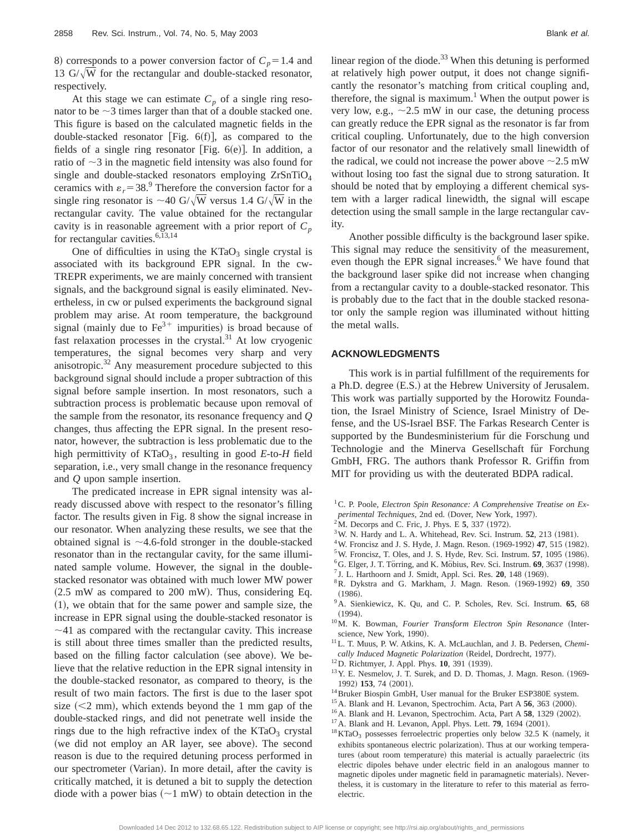8) corresponds to a power conversion factor of  $C_p = 1.4$  and 13  $G/\sqrt{W}$  for the rectangular and double-stacked resonator, respectively.

At this stage we can estimate  $C_p$  of a single ring resonator to be  $\sim$ 3 times larger than that of a double stacked one. This figure is based on the calculated magnetic fields in the double-stacked resonator [Fig.  $6(f)$ ], as compared to the fields of a single ring resonator [Fig.  $6(e)$ ]. In addition, a ratio of  $\sim$ 3 in the magnetic field intensity was also found for single and double-stacked resonators employing  $ZrSnTiO<sub>4</sub>$ ceramics with  $\varepsilon_r = 38.9$  Therefore the conversion factor for a single ring resonator is  $\sim$  40 G/ $\sqrt{\text{W}}$  versus 1.4 G/ $\sqrt{\text{W}}$  in the rectangular cavity. The value obtained for the rectangular cavity is in reasonable agreement with a prior report of  $C_p$ for rectangular cavities.<sup>6,13,14</sup>

One of difficulties in using the  $KTaO<sub>3</sub>$  single crystal is associated with its background EPR signal. In the cw-TREPR experiments, we are mainly concerned with transient signals, and the background signal is easily eliminated. Nevertheless, in cw or pulsed experiments the background signal problem may arise. At room temperature, the background signal (mainly due to  $Fe^{3+}$  impurities) is broad because of fast relaxation processes in the crystal. $31$  At low cryogenic temperatures, the signal becomes very sharp and very anisotropic.32 Any measurement procedure subjected to this background signal should include a proper subtraction of this signal before sample insertion. In most resonators, such a subtraction process is problematic because upon removal of the sample from the resonator, its resonance frequency and *Q* changes, thus affecting the EPR signal. In the present resonator, however, the subtraction is less problematic due to the high permittivity of  $KTaO<sub>3</sub>$ , resulting in good  $E$ -to- $H$  field separation, i.e., very small change in the resonance frequency and *Q* upon sample insertion.

The predicated increase in EPR signal intensity was already discussed above with respect to the resonator's filling factor. The results given in Fig. 8 show the signal increase in our resonator. When analyzing these results, we see that the obtained signal is  $\sim$  4.6-fold stronger in the double-stacked resonator than in the rectangular cavity, for the same illuminated sample volume. However, the signal in the doublestacked resonator was obtained with much lower MW power  $(2.5 \text{ mW}$  as compared to 200 mW). Thus, considering Eq.  $(1)$ , we obtain that for the same power and sample size, the increase in EPR signal using the double-stacked resonator is  $\sim$ 41 as compared with the rectangular cavity. This increase is still about three times smaller than the predicted results, based on the filling factor calculation (see above). We believe that the relative reduction in the EPR signal intensity in the double-stacked resonator, as compared to theory, is the result of two main factors. The first is due to the laser spot size  $(< 2$  mm), which extends beyond the 1 mm gap of the double-stacked rings, and did not penetrate well inside the rings due to the high refractive index of the  $KTaO<sub>3</sub>$  crystal (we did not employ an AR layer, see above). The second reason is due to the required detuning process performed in our spectrometer (Varian). In more detail, after the cavity is critically matched, it is detuned a bit to supply the detection diode with a power bias  $(\sim 1 \text{ mW})$  to obtain detection in the linear region of the diode. $33$  When this detuning is performed at relatively high power output, it does not change significantly the resonator's matching from critical coupling and, therefore, the signal is maximum.<sup>1</sup> When the output power is very low, e.g.,  $\sim$  2.5 mW in our case, the detuning process can greatly reduce the EPR signal as the resonator is far from critical coupling. Unfortunately, due to the high conversion factor of our resonator and the relatively small linewidth of the radical, we could not increase the power above  $\sim$ 2.5 mW without losing too fast the signal due to strong saturation. It should be noted that by employing a different chemical system with a larger radical linewidth, the signal will escape detection using the small sample in the large rectangular cavity.

Another possible difficulty is the background laser spike. This signal may reduce the sensitivity of the measurement, even though the EPR signal increases. $<sup>6</sup>$  We have found that</sup> the background laser spike did not increase when changing from a rectangular cavity to a double-stacked resonator. This is probably due to the fact that in the double stacked resonator only the sample region was illuminated without hitting the metal walls.

#### **ACKNOWLEDGMENTS**

This work is in partial fulfillment of the requirements for a Ph.D. degree  $(E.S.)$  at the Hebrew University of Jerusalem. This work was partially supported by the Horowitz Foundation, the Israel Ministry of Science, Israel Ministry of Defense, and the US-Israel BSF. The Farkas Research Center is supported by the Bundesministerium für die Forschung und Technologie and the Minerva Gesellschaft für Forchung GmbH, FRG. The authors thank Professor R. Griffin from MIT for providing us with the deuterated BDPA radical.

- <sup>1</sup> C. P. Poole, *Electron Spin Resonance: A Comprehensive Treatise on Experimental Techniques*, 2nd ed. (Dover, New York, 1997).
- $^{2}$ M. Decorps and C. Fric, J. Phys. E 5, 337 (1972).
- $3$ W. N. Hardy and L. A. Whitehead, Rev. Sci. Instrum.  $52$ ,  $213$  (1981).
- <sup>4</sup> W. Froncisz and J. S. Hyde, J. Magn. Reson. (1969-1992) **47**, 515 (1982).
- $5$ W. Froncisz, T. Oles, and J. S. Hyde, Rev. Sci. Instrum.  $57$ , 1095 (1986).
- ${}^{6}$ G. Elger, J. T. Törring, and K. Möbius, Rev. Sci. Instrum.  $69$ , 3637 (1998).
- $<sup>7</sup>$  J. L. Harthoorn and J. Smidt, Appl. Sci. Res.  $20$ , 148 (1969).</sup>
- 8R. Dykstra and G. Markham, J. Magn. Reson. ~1969-1992! **69**, 350  $(1986).$
- 9A. Sienkiewicz, K. Qu, and C. P. Scholes, Rev. Sci. Instrum. **65**, 68  $(1994).$
- <sup>10</sup>M. K. Bowman, *Fourier Transform Electron Spin Resonance* (Interscience, New York, 1990).
- 11L. T. Muus, P. W. Atkins, K. A. McLauchlan, and J. B. Pedersen, *Chemically Induced Magnetic Polarization* (Reidel, Dordrecht, 1977).
- <sup>12</sup>D. Richtmyer, J. Appl. Phys. **10**, 391 (1939).
- $13$ Y. E. Nesmelov, J. T. Surek, and D. D. Thomas, J. Magn. Reson.  $(1969-$ 1992) **153**, 74 (2001).
- 14Bruker Biospin GmbH, User manual for the Bruker ESP380E system.
- <sup>15</sup> A. Blank and H. Levanon, Spectrochim. Acta, Part A **56**, 363 (2000).
- <sup>16</sup>A. Blank and H. Levanon, Spectrochim. Acta, Part A 58, 1329 (2002).
- <sup>17</sup> A. Blank and H. Levanon, Appl. Phys. Lett. **79**, 1694 (2001).
- $18$  KTaO<sub>3</sub> possesses ferroelectric properties only below 32.5 K (namely, it exhibits spontaneous electric polarization). Thus at our working temperatures (about room temperature) this material is actually paraelectric (its electric dipoles behave under electric field in an analogous manner to magnetic dipoles under magnetic field in paramagnetic materials). Nevertheless, it is customary in the literature to refer to this material as ferroelectric.